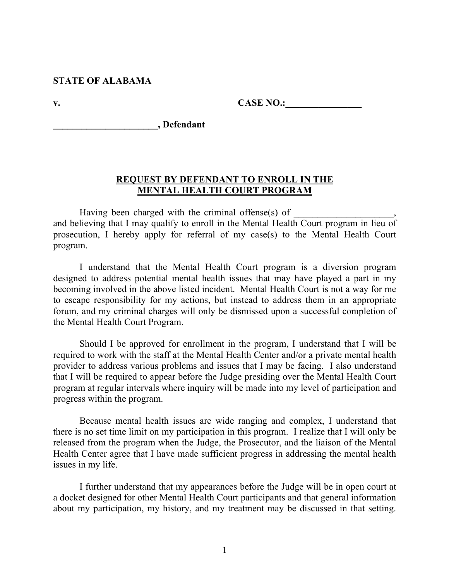#### **STATE OF ALABAMA**

**v. CASE NO.:** 

**\_\_\_\_\_\_\_\_\_\_\_\_\_\_\_\_\_\_\_\_\_\_, Defendant**

#### **REQUEST BY DEFENDANT TO ENROLL IN THE MENTAL HEALTH COURT PROGRAM**

Having been charged with the criminal offense $(s)$  of and believing that I may qualify to enroll in the Mental Health Court program in lieu of prosecution, I hereby apply for referral of my case(s) to the Mental Health Court program.

I understand that the Mental Health Court program is a diversion program designed to address potential mental health issues that may have played a part in my becoming involved in the above listed incident. Mental Health Court is not a way for me to escape responsibility for my actions, but instead to address them in an appropriate forum, and my criminal charges will only be dismissed upon a successful completion of the Mental Health Court Program.

Should I be approved for enrollment in the program, I understand that I will be required to work with the staff at the Mental Health Center and/or a private mental health provider to address various problems and issues that I may be facing. I also understand that I will be required to appear before the Judge presiding over the Mental Health Court program at regular intervals where inquiry will be made into my level of participation and progress within the program.

Because mental health issues are wide ranging and complex, I understand that there is no set time limit on my participation in this program. I realize that I will only be released from the program when the Judge, the Prosecutor, and the liaison of the Mental Health Center agree that I have made sufficient progress in addressing the mental health issues in my life.

I further understand that my appearances before the Judge will be in open court at a docket designed for other Mental Health Court participants and that general information about my participation, my history, and my treatment may be discussed in that setting.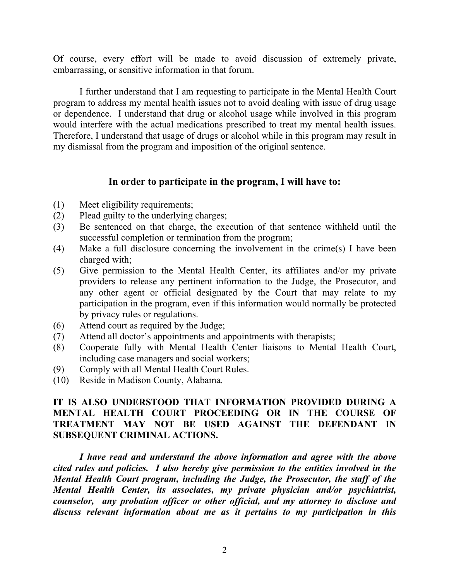Of course, every effort will be made to avoid discussion of extremely private, embarrassing, or sensitive information in that forum.

I further understand that I am requesting to participate in the Mental Health Court program to address my mental health issues not to avoid dealing with issue of drug usage or dependence. I understand that drug or alcohol usage while involved in this program would interfere with the actual medications prescribed to treat my mental health issues. Therefore, I understand that usage of drugs or alcohol while in this program may result in my dismissal from the program and imposition of the original sentence.

### **In order to participate in the program, I will have to:**

- (1) Meet eligibility requirements;
- (2) Plead guilty to the underlying charges;
- (3) Be sentenced on that charge, the execution of that sentence withheld until the successful completion or termination from the program;
- (4) Make a full disclosure concerning the involvement in the crime(s) I have been charged with;
- (5) Give permission to the Mental Health Center, its affiliates and/or my private providers to release any pertinent information to the Judge, the Prosecutor, and any other agent or official designated by the Court that may relate to my participation in the program, even if this information would normally be protected by privacy rules or regulations.
- (6) Attend court as required by the Judge;
- (7) Attend all doctor's appointments and appointments with therapists;
- (8) Cooperate fully with Mental Health Center liaisons to Mental Health Court, including case managers and social workers;
- (9) Comply with all Mental Health Court Rules.
- (10) Reside in Madison County, Alabama.

## **IT IS ALSO UNDERSTOOD THAT INFORMATION PROVIDED DURING A MENTAL HEALTH COURT PROCEEDING OR IN THE COURSE OF TREATMENT MAY NOT BE USED AGAINST THE DEFENDANT IN SUBSEQUENT CRIMINAL ACTIONS.**

*I have read and understand the above information and agree with the above cited rules and policies. I also hereby give permission to the entities involved in the Mental Health Court program, including the Judge, the Prosecutor, the staff of the Mental Health Center, its associates, my private physician and/or psychiatrist, counselor, any probation officer or other official, and my attorney to disclose and discuss relevant information about me as it pertains to my participation in this*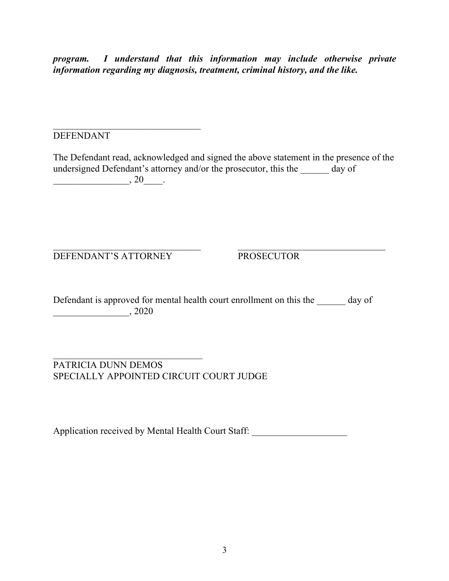*program. I understand that this information may include otherwise private information regarding my diagnosis, treatment, criminal history, and the like.*

## DEFENDANT

The Defendant read, acknowledged and signed the above statement in the presence of the undersigned Defendant's attorney and/or the prosecutor, this the day of \_\_\_\_\_\_\_\_\_\_\_\_\_\_\_\_, 20\_\_\_\_.

DEFENDANT'S ATTORNEY PROSECUTOR

 $\mathcal{L}_\text{max}$ 

Defendant is approved for mental health court enrollment on this the day of \_\_\_\_\_\_\_\_\_\_\_\_\_\_\_\_, 2020

PATRICIA DUNN DEMOS SPECIALLY APPOINTED CIRCUIT COURT JUDGE

Application received by Mental Health Court Staff: \_\_\_\_\_\_\_\_\_\_\_\_\_\_\_\_\_\_\_\_\_\_\_\_\_\_\_\_\_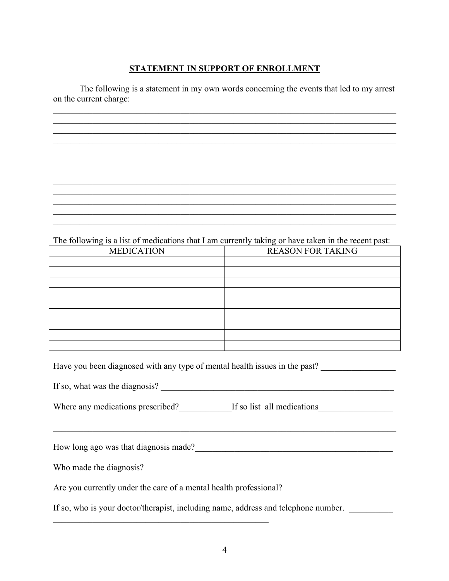### **STATEMENT IN SUPPORT OF ENROLLMENT**

The following is a statement in my own words concerning the events that led to my arrest on the current charge:

#### The following is a list of medications that I am currently taking or have taken in the recent past:

| <b>MEDICATION</b> | <b>REASON FOR TAKING</b> |
|-------------------|--------------------------|
|                   |                          |
|                   |                          |
|                   |                          |
|                   |                          |
|                   |                          |
|                   |                          |
|                   |                          |
|                   |                          |
|                   |                          |

Have you been diagnosed with any type of mental health issues in the past?

Where any medications prescribed? If so list all medications

How long ago was that diagnosis made?<br>
The same state of the same state of the same state of the same state of the same state of the same state of the same state of the same state of the same state of the same state of the

Are you currently under the care of a mental health professional?

If so, who is your doctor/therapist, including name, address and telephone number.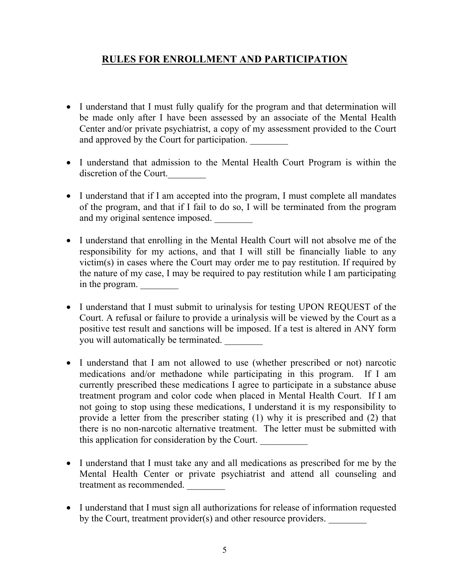## **RULES FOR ENROLLMENT AND PARTICIPATION**

- I understand that I must fully qualify for the program and that determination will be made only after I have been assessed by an associate of the Mental Health Center and/or private psychiatrist, a copy of my assessment provided to the Court and approved by the Court for participation.
- I understand that admission to the Mental Health Court Program is within the discretion of the Court.
- I understand that if I am accepted into the program, I must complete all mandates of the program, and that if I fail to do so, I will be terminated from the program and my original sentence imposed.
- I understand that enrolling in the Mental Health Court will not absolve me of the responsibility for my actions, and that I will still be financially liable to any victim(s) in cases where the Court may order me to pay restitution. If required by the nature of my case, I may be required to pay restitution while I am participating in the program.
- I understand that I must submit to urinalysis for testing UPON REQUEST of the Court. A refusal or failure to provide a urinalysis will be viewed by the Court as a positive test result and sanctions will be imposed. If a test is altered in ANY form you will automatically be terminated.
- I understand that I am not allowed to use (whether prescribed or not) narcotic medications and/or methadone while participating in this program. If I am currently prescribed these medications I agree to participate in a substance abuse treatment program and color code when placed in Mental Health Court. If I am not going to stop using these medications, I understand it is my responsibility to provide a letter from the prescriber stating (1) why it is prescribed and (2) that there is no non-narcotic alternative treatment. The letter must be submitted with this application for consideration by the Court.
- I understand that I must take any and all medications as prescribed for me by the Mental Health Center or private psychiatrist and attend all counseling and treatment as recommended.
- I understand that I must sign all authorizations for release of information requested by the Court, treatment provider(s) and other resource providers.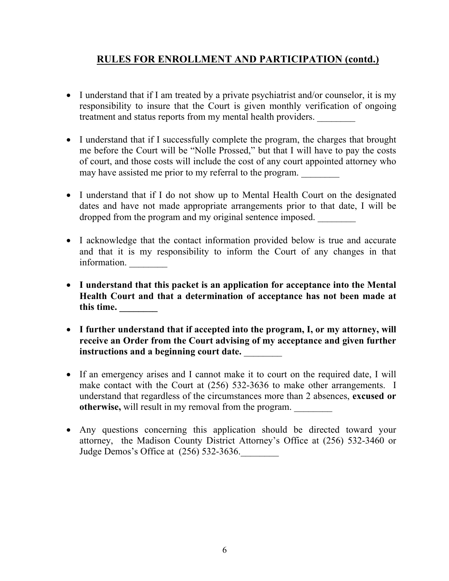# **RULES FOR ENROLLMENT AND PARTICIPATION (contd.)**

- I understand that if I am treated by a private psychiatrist and/or counselor, it is my responsibility to insure that the Court is given monthly verification of ongoing treatment and status reports from my mental health providers.
- I understand that if I successfully complete the program, the charges that brought me before the Court will be "Nolle Prossed," but that I will have to pay the costs of court, and those costs will include the cost of any court appointed attorney who may have assisted me prior to my referral to the program.
- I understand that if I do not show up to Mental Health Court on the designated dates and have not made appropriate arrangements prior to that date, I will be dropped from the program and my original sentence imposed.
- I acknowledge that the contact information provided below is true and accurate and that it is my responsibility to inform the Court of any changes in that information.
- **I understand that this packet is an application for acceptance into the Mental Health Court and that a determination of acceptance has not been made at this time. \_\_\_\_\_\_\_\_**
- **I further understand that if accepted into the program, I, or my attorney, will receive an Order from the Court advising of my acceptance and given further instructions and a beginning court date.** \_\_\_\_\_\_\_\_
- If an emergency arises and I cannot make it to court on the required date, I will make contact with the Court at (256) 532-3636 to make other arrangements. I understand that regardless of the circumstances more than 2 absences, **excused or otherwise,** will result in my removal from the program.
- Any questions concerning this application should be directed toward your attorney, the Madison County District Attorney's Office at (256) 532-3460 or Judge Demos's Office at  $(256)$  532-3636.